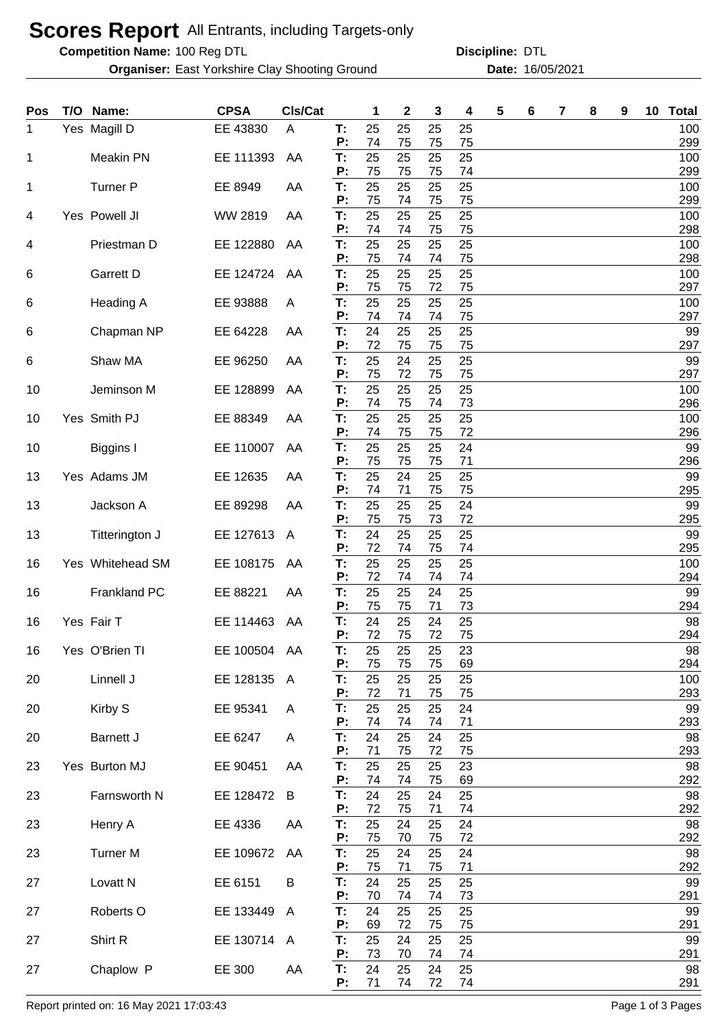## **Scores Report** All Entrants, including Targets-only

**Competition Name:**

**Organiser:** East Yorkshire Clay Shooting Ground **16/05/2021** Date: 16/05/2021

100 Reg DTL **Discipline:** DTL

| Pos | T/O Name:           | <b>CPSA</b>  | Cls/Cat      |          | 1          | $\mathbf{2}$ | 3        | 4        | 5 | 6 | 7 | 8 | 9 | 10 | <b>Total</b> |
|-----|---------------------|--------------|--------------|----------|------------|--------------|----------|----------|---|---|---|---|---|----|--------------|
| 1   | Yes Magill D        | EE 43830     | A            | T:<br>P: | 25<br>74   | 25<br>75     | 25<br>75 | 25<br>75 |   |   |   |   |   |    | 100<br>299   |
| 1   | <b>Meakin PN</b>    | EE 111393    | AA           | T:       | 25<br>75   | 25           | 25       | 25       |   |   |   |   |   |    | 100          |
| 1   | <b>Turner P</b>     | EE 8949      | AA           | P:<br>T: | 25         | 75<br>25     | 75<br>25 | 74<br>25 |   |   |   |   |   |    | 299<br>100   |
| 4   | Yes Powell JI       | WW 2819      | AA           | P:<br>T: | 75<br>25   | 74<br>25     | 75<br>25 | 75<br>25 |   |   |   |   |   |    | 299<br>100   |
|     |                     |              |              | P:       | 74         | 74           | 75       | 75       |   |   |   |   |   |    | 298          |
| 4   | Priestman D         | EE 122880    | AA           | Т:<br>P: | 25<br>75   | 25<br>74     | 25<br>74 | 25<br>75 |   |   |   |   |   |    | 100<br>298   |
| 6   | Garrett D           | EE 124724    | AA           | T:<br>P: | 25<br>75   | 25<br>75     | 25<br>72 | 25<br>75 |   |   |   |   |   |    | 100<br>297   |
| 6   | Heading A           | EE 93888     | A            | T:<br>P: | 25         | 25           | 25       | 25       |   |   |   |   |   |    | 100          |
| 6   | Chapman NP          | EE 64228     | AA           | T:       | 74<br>24   | 74<br>25     | 74<br>25 | 75<br>25 |   |   |   |   |   |    | 297<br>99    |
| 6   | Shaw MA             | EE 96250     | AA           | P:<br>T: | 72<br>25   | 75<br>24     | 75<br>25 | 75<br>25 |   |   |   |   |   |    | 297<br>99    |
|     |                     |              |              | P:       | 75         | 72           | 75       | 75       |   |   |   |   |   |    | 297          |
| 10  | Jeminson M          | EE 128899    | AA           | T:<br>P: | 25<br>74   | 25<br>75     | 25<br>74 | 25<br>73 |   |   |   |   |   |    | 100<br>296   |
| 10  | Yes Smith PJ        | EE 88349     | AA           | T:<br>P: | 25<br>74   | 25<br>75     | 25<br>75 | 25<br>72 |   |   |   |   |   |    | 100<br>296   |
| 10  | Biggins I           | EE 110007    | AA           | T:       | 25         | 25           | 25       | 24       |   |   |   |   |   |    | 99           |
| 13  | Yes Adams JM        | EE 12635     | AA           | P:<br>T: | 75<br>25   | 75<br>24     | 75<br>25 | 71<br>25 |   |   |   |   |   |    | 296<br>99    |
| 13  | Jackson A           | EE 89298     | AA           | P:<br>T: | 74<br>25   | 71<br>25     | 75<br>25 | 75<br>24 |   |   |   |   |   |    | 295<br>99    |
|     |                     |              |              | P:       | 75         | 75           | 73       | 72       |   |   |   |   |   |    | 295          |
| 13  | Titterington J      | EE 127613    | A            | T:<br>P: | 24<br>72   | 25<br>74     | 25<br>75 | 25<br>74 |   |   |   |   |   |    | 99<br>295    |
| 16  | Yes Whitehead SM    | EE 108175    | AA           | T:<br>P: | 25<br>72   | 25<br>74     | 25<br>74 | 25<br>74 |   |   |   |   |   |    | 100<br>294   |
| 16  | Frankland PC        | EE 88221     | AA           | T:       | 25         | 25           | 24       | 25       |   |   |   |   |   |    | 99           |
| 16  | Yes Fair T          | EE 114463    | AA           | P:<br>T: | 75<br>24   | 75<br>25     | 71<br>24 | 73<br>25 |   |   |   |   |   |    | 294<br>98    |
|     |                     |              |              | P:       | 72         | 75           | 72       | 75       |   |   |   |   |   |    | 294          |
| 16  | Yes O'Brien TI      | EE 100504 AA |              | Т:<br>P: | 25<br>75   | 25<br>75     | 25<br>75 | 23<br>69 |   |   |   |   |   |    | 98<br>294    |
| 20  | Linnell J           | EE 128135    | $\mathsf{A}$ | T:<br>P: | 25<br>72   | 25<br>71     | 25<br>75 | 25<br>75 |   |   |   |   |   |    | 100<br>293   |
| 20  | Kirby S             | EE 95341     | A            | T:       | 25<br>74   | 25           | 25       | 24       |   |   |   |   |   |    | 99           |
| 20  | <b>Barnett J</b>    | EE 6247      | A            | P:<br>T: | 24         | 74<br>25     | 74<br>24 | 71<br>25 |   |   |   |   |   |    | 293<br>98    |
| 23  | Yes Burton MJ       | EE 90451     | AA           | P:<br>T: | 71<br>25   | 75<br>25     | 72<br>25 | 75<br>23 |   |   |   |   |   |    | 293<br>98    |
|     |                     |              |              | P:       | 74         | 74           | 75       | 69       |   |   |   |   |   |    | 292          |
| 23  | Farnsworth N        | EE 128472    | B            | T:<br>P: | 24<br>72   | 25<br>75     | 24<br>71 | 25<br>74 |   |   |   |   |   |    | 98<br>292    |
| 23  | Henry A             | EE 4336      | AA           | T:<br>P: | 25<br>75   | 24<br>70     | 25<br>75 | 24<br>72 |   |   |   |   |   |    | 98<br>292    |
| 23  | <b>Turner M</b>     | EE 109672    | AA           | T:       | 25         | 24           | 25       | 24       |   |   |   |   |   |    | 98           |
| 27  | Lovatt <sub>N</sub> | EE 6151      | B            | P:<br>T: | 75<br>24   | 71<br>25     | 75<br>25 | 71<br>25 |   |   |   |   |   |    | 292<br>99    |
| 27  | Roberts O           | EE 133449    | A            | P:<br>T: | 70<br>24   | 74<br>25     | 74<br>25 | 73<br>25 |   |   |   |   |   |    | 291<br>99    |
|     |                     |              |              | P:       | 69         | 72           | 75       | 75       |   |   |   |   |   |    | 291          |
| 27  | Shirt R             | EE 130714    | A            | Т.<br>P: | 25<br>73   | 24<br>70     | 25<br>74 | 25<br>74 |   |   |   |   |   |    | 99<br>291    |
| 27  | Chaplow P           | EE 300       | AA           | Т.<br>P: | 24<br>$71$ | 25<br>74     | 24<br>72 | 25<br>74 |   |   |   |   |   |    | 98<br>291    |

Report printed on: 16 May 2021 17:03:43 Page 1 of 3 Pages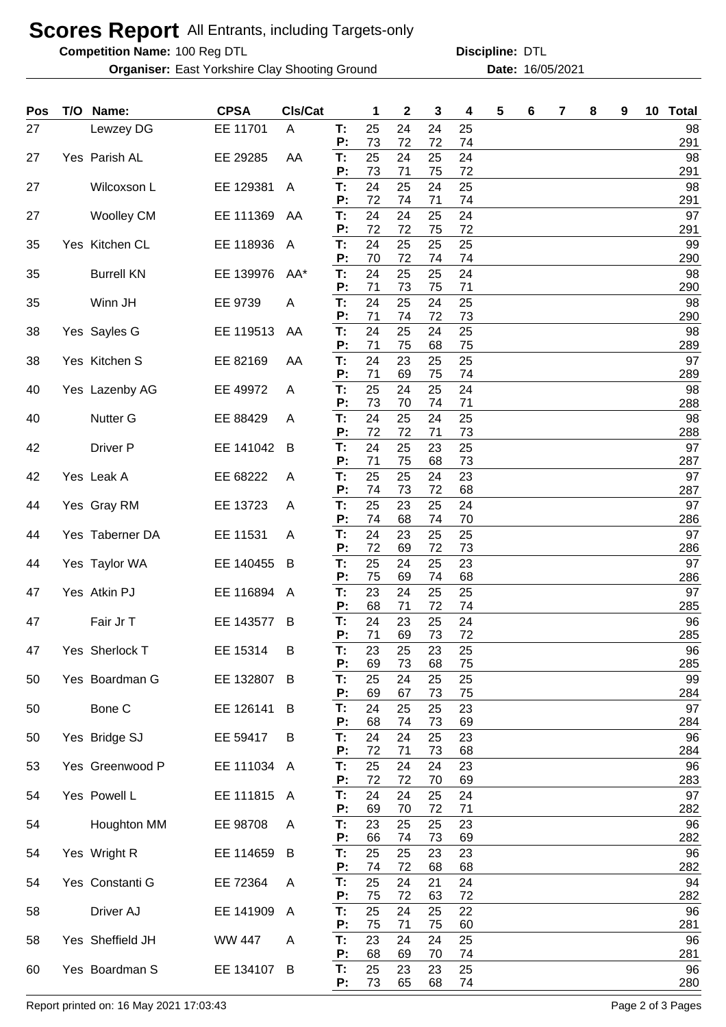## **Scores Report** All Entrants, including Targets-only

**Competition Name:**

**Organiser:** East Yorkshire Clay Shooting Ground **16/05/2021** Date: 16/05/2021

100 Reg DTL **Discipline:** DTL

| Pos | T/O Name:         | <b>CPSA</b> | CIs/Cat |          | 1        | 2              | 3              | 4        | 5 | 6 | 7 | 8 | 9 | 10 Total  |
|-----|-------------------|-------------|---------|----------|----------|----------------|----------------|----------|---|---|---|---|---|-----------|
| 27  | Lewzey DG         | EE 11701    | A       | T:<br>P: | 25<br>73 | 24<br>72       | 24<br>72       | 25<br>74 |   |   |   |   |   | 98<br>291 |
| 27  | Yes Parish AL     | EE 29285    | AA      | T:       | 25       | 24             | 25             | 24       |   |   |   |   |   | 98        |
| 27  | Wilcoxson L       | EE 129381   | A       | P:<br>T: | 73<br>24 | 71<br>25       | 75<br>24       | 72<br>25 |   |   |   |   |   | 291<br>98 |
|     |                   |             |         | P:       | 72       | 74             | 71             | 74       |   |   |   |   |   | 291       |
| 27  | <b>Woolley CM</b> | EE 111369   | AA      | T:<br>P: | 24<br>72 | 24<br>72       | 25<br>75       | 24<br>72 |   |   |   |   |   | 97<br>291 |
| 35  | Yes Kitchen CL    | EE 118936   | A       | T:<br>P: | 24<br>70 | 25<br>72       | 25<br>74       | 25<br>74 |   |   |   |   |   | 99<br>290 |
| 35  | <b>Burrell KN</b> | EE 139976   | AA*     | T:<br>P: | 24<br>71 | 25             | 25             | 24       |   |   |   |   |   | 98        |
| 35  | Winn JH           | EE 9739     | A       | T:<br>P: | 24<br>71 | 73<br>25<br>74 | 75<br>24<br>72 | 71<br>25 |   |   |   |   |   | 290<br>98 |
| 38  | Yes Sayles G      | EE 119513   | AA      | T:       | 24       | 25             | 24             | 73<br>25 |   |   |   |   |   | 290<br>98 |
| 38  | Yes Kitchen S     | EE 82169    | AA      | P:<br>T: | 71<br>24 | 75<br>23       | 68<br>25       | 75<br>25 |   |   |   |   |   | 289<br>97 |
|     |                   |             |         | Р:       | 71       | 69             | 75             | 74       |   |   |   |   |   | 289       |
| 40  | Yes Lazenby AG    | EE 49972    | A       | T:<br>Р: | 25<br>73 | 24<br>70       | 25<br>74       | 24<br>71 |   |   |   |   |   | 98<br>288 |
| 40  | Nutter G          | EE 88429    | A       | T:<br>P: | 24<br>72 | 25<br>72       | 24<br>71       | 25<br>73 |   |   |   |   |   | 98<br>288 |
| 42  | Driver P          | EE 141042   | B       | T:       | 24       | 25             | 23             | 25       |   |   |   |   |   | 97        |
|     | Yes Leak A        |             |         | P:<br>T: | 71<br>25 | 75<br>25       | 68<br>24       | 73<br>23 |   |   |   |   |   | 287<br>97 |
| 42  |                   | EE 68222    | A       | P:       | 74       | 73             | 72             | 68       |   |   |   |   |   | 287       |
| 44  | Yes Gray RM       | EE 13723    | A       | T:<br>P: | 25<br>74 | 23<br>68       | 25<br>74       | 24<br>70 |   |   |   |   |   | 97<br>286 |
| 44  | Yes Taberner DA   | EE 11531    | A       | T:       | 24       | 23             | 25             | 25       |   |   |   |   |   | 97        |
| 44  | Yes Taylor WA     | EE 140455   | B       | P:<br>T: | 72<br>25 | 69<br>24       | 72<br>25       | 73<br>23 |   |   |   |   |   | 286<br>97 |
|     |                   |             |         | P:       | 75       | 69             | 74             | 68       |   |   |   |   |   | 286       |
| 47  | Yes Atkin PJ      | EE 116894   | A       | T:<br>P: | 23<br>68 | 24<br>71       | 25<br>72       | 25<br>74 |   |   |   |   |   | 97<br>285 |
| 47  | Fair Jr T         | EE 143577   | B       | T.       | 24       | 23             | 25             | 24       |   |   |   |   |   | 96        |
| 47  | Yes Sherlock T    | EE 15314    | в       | P:<br>T: | 71<br>23 | 69<br>25       | 73<br>23       | 72<br>25 |   |   |   |   |   | 285<br>96 |
| 50  | Yes Boardman G    | EE 132807   | B       | P:<br>Т. | 69<br>25 | 73<br>24       | 68<br>25       | 75<br>25 |   |   |   |   |   | 285<br>99 |
|     |                   |             |         | P:       | 69       | 67             | 73             | 75       |   |   |   |   |   | 284       |
| 50  | Bone C            | EE 126141   | B       | Т.<br>P: | 24<br>68 | 25<br>74       | 25<br>73       | 23<br>69 |   |   |   |   |   | 97<br>284 |
| 50  | Yes Bridge SJ     | EE 59417    | B       | T:<br>P: | 24<br>72 | 24<br>71       | 25<br>73       | 23       |   |   |   |   |   | 96        |
| 53  | Yes Greenwood P   | EE 111034 A |         | Т.       | 25       | 24             | 24             | 68<br>23 |   |   |   |   |   | 284<br>96 |
|     | Yes Powell L      |             |         | P:       | 72<br>24 | 72<br>24       | 70<br>25       | 69<br>24 |   |   |   |   |   | 283<br>97 |
| 54  |                   | EE 111815   | A       | Т.<br>P: | 69       | 70             | 72             | 71       |   |   |   |   |   | 282       |
| 54  | Houghton MM       | EE 98708    | A       | Т:<br>P: | 23<br>66 | 25<br>74       | 25<br>73       | 23<br>69 |   |   |   |   |   | 96<br>282 |
| 54  | Yes Wright R      | EE 114659   | B       | T:       | 25       | 25             | 23             | 23       |   |   |   |   |   | 96        |
| 54  | Yes Constanti G   | EE 72364    | A       | P:<br>Т. | 74<br>25 | 72<br>24       | 68<br>21       | 68<br>24 |   |   |   |   |   | 282<br>94 |
|     |                   |             |         | P:<br>T. | 75<br>25 | 72<br>24       | 63<br>25       | 72<br>22 |   |   |   |   |   | 282<br>96 |
| 58  | Driver AJ         | EE 141909   | A       | P:       | 75       | 71             | 75             | 60       |   |   |   |   |   | 281       |
| 58  | Yes Sheffield JH  | WW 447      | A       | T:<br>P: | 23<br>68 | 24<br>69       | 24<br>70       | 25<br>74 |   |   |   |   |   | 96<br>281 |
| 60  | Yes Boardman S    | EE 134107   | B       | T:       | 25       | 23             | 23             | 25       |   |   |   |   |   | 96        |
|     |                   |             |         | P:       | 73       | 65             | 68             | 74       |   |   |   |   |   | 280       |

Report printed on: 16 May 2021 17:03:43 Page 2 of 3 Pages